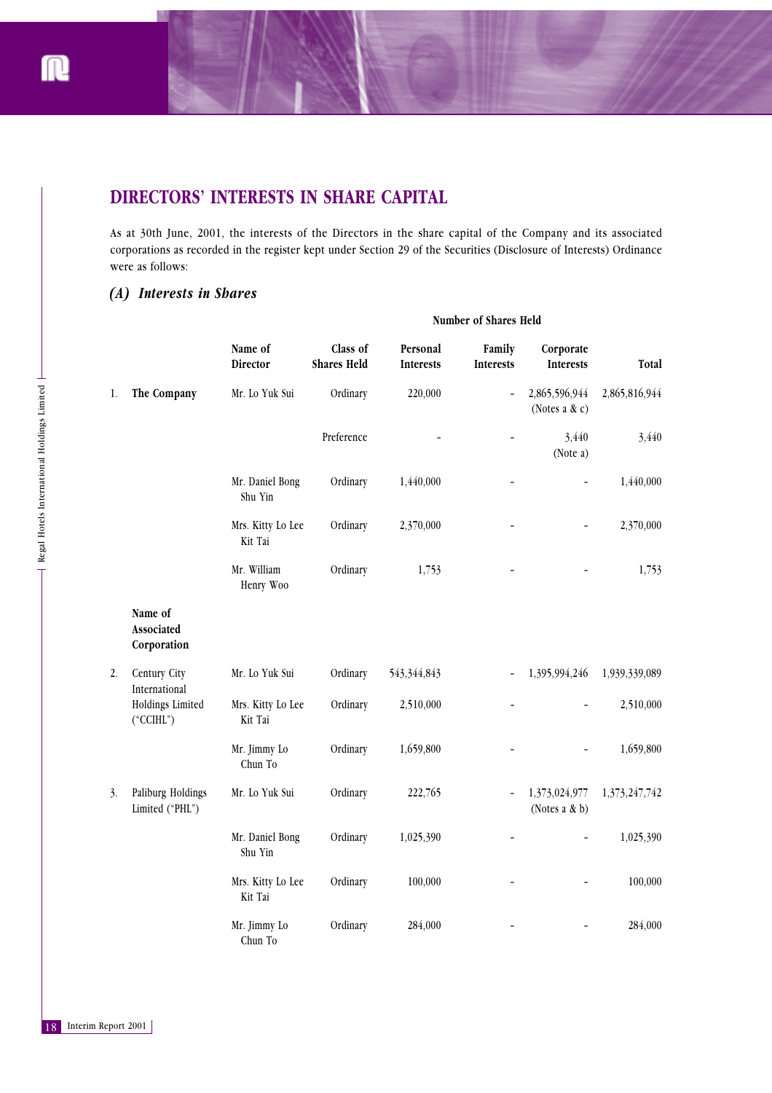# **DIRECTORS' INTERESTS IN SHARE CAPITAL**

As at 30th June, 2001, the interests of the Directors in the share capital of the Company and its associated corporations as recorded in the register kept under Section 29 of the Securities (Disclosure of Interests) Ordinance were as follows:

## *(A) Interests in Shares*

|               | Number of Shares Held          |                              |                              |                                |                              |                                       |    |
|---------------|--------------------------------|------------------------------|------------------------------|--------------------------------|------------------------------|---------------------------------------|----|
| Total         | Corporate<br>Interests         | Family<br>Interests          | Personal<br><b>Interests</b> | Class of<br><b>Shares Held</b> | Name of<br>Director          |                                       |    |
| 2,865,816,944 | 2,865,596,944<br>(Notes a & c) | $\qquad \qquad \blacksquare$ | 220,000                      | Ordinary                       | Mr. Lo Yuk Sui               | The Company                           | 1. |
| 3,440         | 3,440<br>(Note a)              |                              |                              | Preference                     |                              |                                       |    |
| 1,440,000     | $\overline{\phantom{a}}$       |                              | 1,440,000                    | Ordinary                       | Mr. Daniel Bong<br>Shu Yin   |                                       |    |
| 2,370,000     |                                |                              | 2,370,000                    | Ordinary                       | Mrs. Kitty Lo Lee<br>Kit Tai |                                       |    |
| 1,753         |                                |                              | 1,753                        | Ordinary                       | Mr. William<br>Henry Woo     |                                       |    |
|               |                                |                              |                              |                                |                              | Name of<br>Associated<br>Corporation  |    |
| 1,939,339,089 | 1,395,994,246                  | $\qquad \qquad \blacksquare$ | 543,344,843                  | Ordinary                       | Mr. Lo Yuk Sui               | Century City<br>International         | 2. |
| 2,510,000     |                                |                              | 2,510,000                    | Ordinary                       | Mrs. Kitty Lo Lee<br>Kit Tai | Holdings Limited<br>$(^{\circ}CCHL")$ |    |
| 1,659,800     |                                |                              | 1,659,800                    | Ordinary                       | Mr. Jimmy Lo<br>Chun To      |                                       |    |
| 1,373,247,742 | 1,373,024,977<br>(Notes a & b) | $\qquad \qquad \blacksquare$ | 222,765                      | Ordinary                       | Mr. Lo Yuk Sui               | Paliburg Holdings<br>Limited ("PHL")  | 3. |
| 1,025,390     | $\overline{\phantom{0}}$       |                              | 1,025,390                    | Ordinary                       | Mr. Daniel Bong<br>Shu Yin   |                                       |    |
| 100,000       |                                |                              | 100,000                      | Ordinary                       | Mrs. Kitty Lo Lee<br>Kit Tai |                                       |    |
| 284,000       |                                |                              | 284,000                      | Ordinary                       | Mr. Jimmy Lo<br>Chun To      |                                       |    |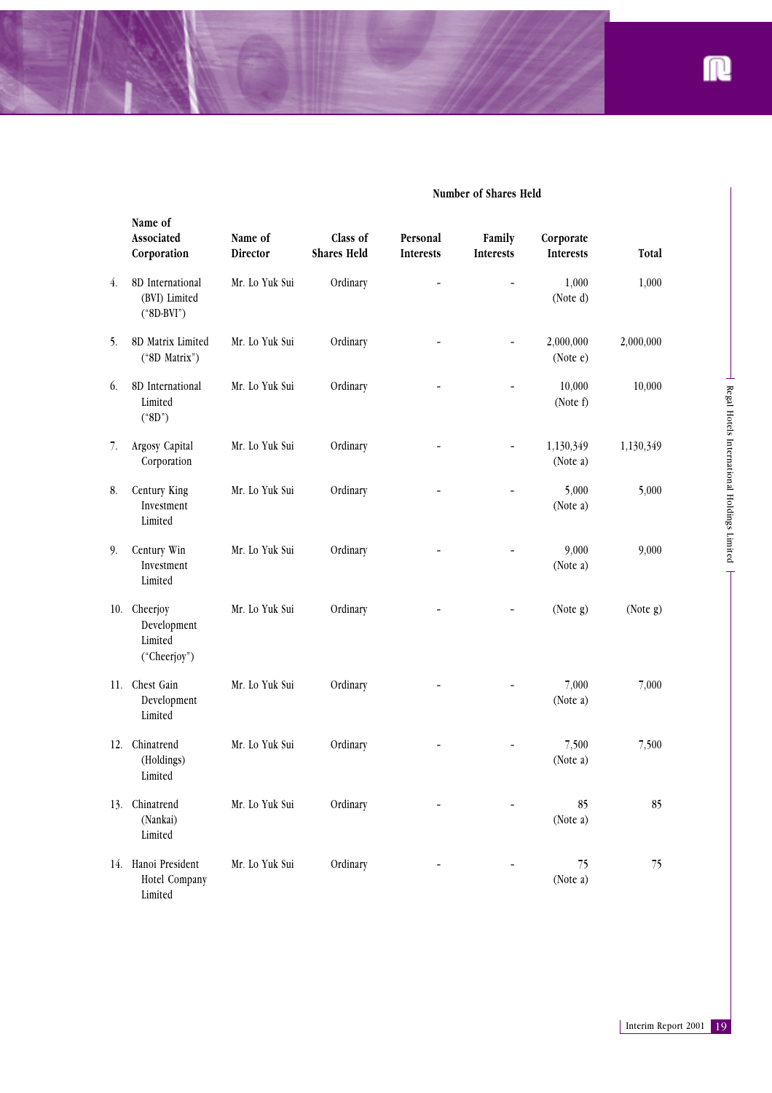

|     | Name of<br>Associated<br>Corporation                   | Name of<br>Director | Class of<br><b>Shares Held</b> | Personal<br>Interests | Family<br><b>Interests</b>   | Corporate<br>Interests | Total               |                                             |
|-----|--------------------------------------------------------|---------------------|--------------------------------|-----------------------|------------------------------|------------------------|---------------------|---------------------------------------------|
| 4.  | 8D International<br>(BVI) Limited<br>$(*8D-BVI")$      | Mr. Lo Yuk Sui      | Ordinary                       |                       |                              | 1,000<br>(Note d)      | 1,000               |                                             |
| 5.  | 8D Matrix Limited<br>("8D Matrix")                     | Mr. Lo Yuk Sui      | Ordinary                       |                       |                              | 2,000,000<br>(Note e)  | 2,000,000           |                                             |
| 6.  | 8D International<br>Limited<br>$(*8D")$                | Mr. Lo Yuk Sui      | Ordinary                       |                       |                              | 10,000<br>(Note f)     | 10,000              |                                             |
| 7.  | Argosy Capital<br>Corporation                          | Mr. Lo Yuk Sui      | Ordinary                       |                       |                              | 1,130,349<br>(Note a)  | 1,130,349           |                                             |
| 8.  | Century King<br>Investment<br>Limited                  | Mr. Lo Yuk Sui      | Ordinary                       |                       |                              | 5,000<br>(Note a)      | 5,000               | Regal Hotels International Holdings Limited |
| 9.  | Century Win<br>Investment<br>Limited                   | Mr. Lo Yuk Sui      | Ordinary                       |                       |                              | 9,000<br>(Note a)      | 9,000               |                                             |
|     | 10. Cheerjoy<br>Development<br>Limited<br>("Cheerjoy") | Mr. Lo Yuk Sui      | Ordinary                       |                       |                              | (Note g)               | (Note g)            |                                             |
|     | 11. Chest Gain<br>Development<br>Limited               | Mr. Lo Yuk Sui      | Ordinary                       |                       |                              | 7,000<br>(Note a)      | 7,000               |                                             |
| 12. | Chinatrend<br>(Holdings)<br>Limited                    | Mr. Lo Yuk Sui      | Ordinary                       |                       |                              | 7,500<br>(Note a)      | 7,500               |                                             |
|     | 13. Chinatrend<br>(Nankai)<br>Limited                  | Mr. Lo Yuk Sui      | Ordinary                       |                       | $\qquad \qquad \blacksquare$ | 85<br>(Note a)         | 85                  |                                             |
|     | 14. Hanoi President<br>Hotel Company<br>Limited        | Mr. Lo Yuk Sui      | Ordinary                       |                       |                              | 75<br>(Note a)         | 75                  |                                             |
|     |                                                        |                     |                                |                       |                              |                        |                     |                                             |
|     |                                                        |                     |                                |                       |                              |                        | Interim Report 2001 | 19                                          |

### **Number of Shares Held**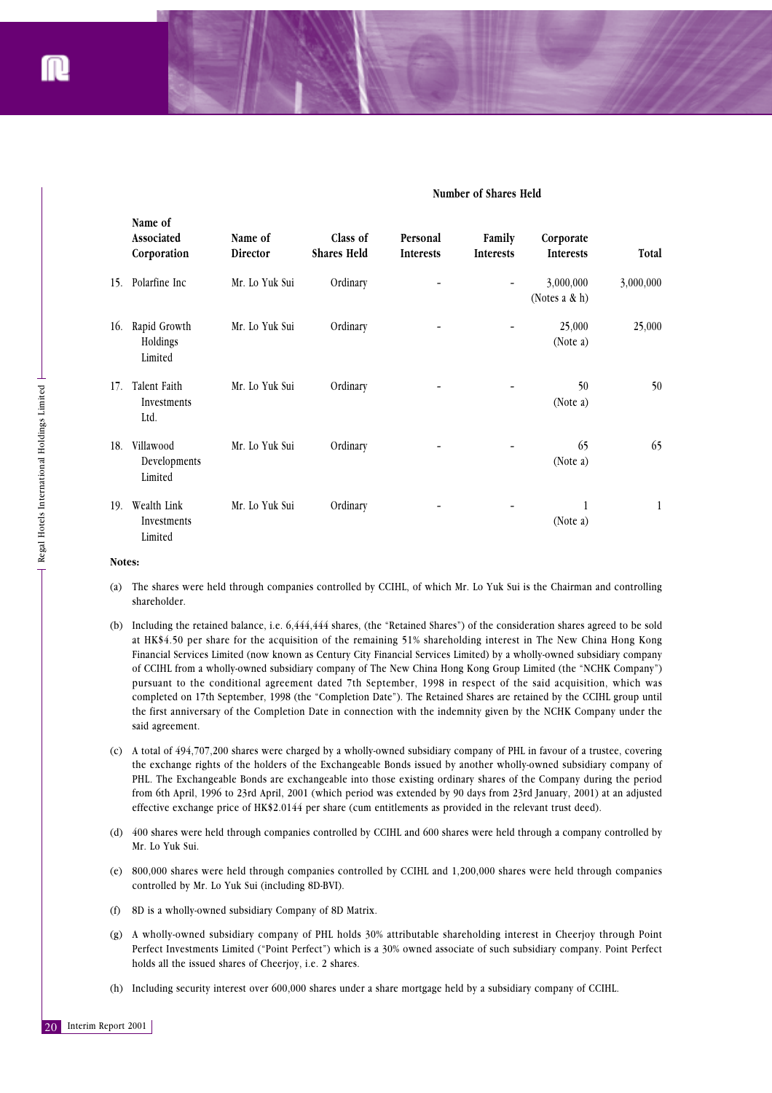|                                                                 |                   | Name of<br>Associated<br>Corporation                                                                                                                                                                                                                                                                                                                                                                                                                                                                                                                                                                                                                                                                                                                                                                                                                                            | Name of<br>Director                                                                                         | Class of<br><b>Shares Held</b> | Personal<br><b>Interests</b> | Family<br>Interests | Corporate<br>Interests                                                                                                                                                                                                                                                                                                                                                                                                                                                                      | Total     |  |  |
|-----------------------------------------------------------------|-------------------|---------------------------------------------------------------------------------------------------------------------------------------------------------------------------------------------------------------------------------------------------------------------------------------------------------------------------------------------------------------------------------------------------------------------------------------------------------------------------------------------------------------------------------------------------------------------------------------------------------------------------------------------------------------------------------------------------------------------------------------------------------------------------------------------------------------------------------------------------------------------------------|-------------------------------------------------------------------------------------------------------------|--------------------------------|------------------------------|---------------------|---------------------------------------------------------------------------------------------------------------------------------------------------------------------------------------------------------------------------------------------------------------------------------------------------------------------------------------------------------------------------------------------------------------------------------------------------------------------------------------------|-----------|--|--|
|                                                                 |                   | 15. Polarfine Inc                                                                                                                                                                                                                                                                                                                                                                                                                                                                                                                                                                                                                                                                                                                                                                                                                                                               | Mr. Lo Yuk Sui                                                                                              | Ordinary                       |                              |                     | 3,000,000<br>(Notes a & h)                                                                                                                                                                                                                                                                                                                                                                                                                                                                  | 3,000,000 |  |  |
|                                                                 |                   | 16. Rapid Growth<br>Holdings<br>Limited                                                                                                                                                                                                                                                                                                                                                                                                                                                                                                                                                                                                                                                                                                                                                                                                                                         | Mr. Lo Yuk Sui                                                                                              | Ordinary                       |                              |                     | 25,000<br>(Note a)                                                                                                                                                                                                                                                                                                                                                                                                                                                                          | 25,000    |  |  |
|                                                                 |                   | 17. Talent Faith<br>Investments<br>Ltd.                                                                                                                                                                                                                                                                                                                                                                                                                                                                                                                                                                                                                                                                                                                                                                                                                                         | Mr. Lo Yuk Sui                                                                                              | Ordinary                       |                              |                     | 50<br>(Note a)                                                                                                                                                                                                                                                                                                                                                                                                                                                                              | 50        |  |  |
| $\exists$ Regal Hotels International Holdings Limited $\exists$ |                   | 18. Villawood<br>Developments<br>Limited                                                                                                                                                                                                                                                                                                                                                                                                                                                                                                                                                                                                                                                                                                                                                                                                                                        | Mr. Lo Yuk Sui                                                                                              | Ordinary                       |                              |                     | 65<br>(Note a)                                                                                                                                                                                                                                                                                                                                                                                                                                                                              | 65        |  |  |
|                                                                 |                   | 19. Wealth Link<br>Investments<br>Limited                                                                                                                                                                                                                                                                                                                                                                                                                                                                                                                                                                                                                                                                                                                                                                                                                                       | Mr. Lo Yuk Sui                                                                                              | Ordinary                       |                              |                     | 1<br>(Note a)                                                                                                                                                                                                                                                                                                                                                                                                                                                                               | 1         |  |  |
|                                                                 | Notes:            |                                                                                                                                                                                                                                                                                                                                                                                                                                                                                                                                                                                                                                                                                                                                                                                                                                                                                 |                                                                                                             |                                |                              |                     |                                                                                                                                                                                                                                                                                                                                                                                                                                                                                             |           |  |  |
|                                                                 | $\left( a\right)$ | The shares were held through companies controlled by CCIHL, of which Mr. Lo Yuk Sui is the Chairman and controlling<br>shareholder.                                                                                                                                                                                                                                                                                                                                                                                                                                                                                                                                                                                                                                                                                                                                             |                                                                                                             |                                |                              |                     |                                                                                                                                                                                                                                                                                                                                                                                                                                                                                             |           |  |  |
|                                                                 |                   | (b) Including the retained balance, i.e. 6,444,444 shares, (the "Retained Shares") of the consideration shares agreed to be sold<br>at HK\$4.50 per share for the acquisition of the remaining 51% shareholding interest in The New China Hong Kong<br>Financial Services Limited (now known as Century City Financial Services Limited) by a wholly-owned subsidiary company<br>of CCIHL from a wholly-owned subsidiary company of The New China Hong Kong Group Limited (the "NCHK Company")<br>pursuant to the conditional agreement dated 7th September, 1998 in respect of the said acquisition, which was<br>completed on 17th September, 1998 (the "Completion Date"). The Retained Shares are retained by the CCIHL group until<br>the first anniversary of the Completion Date in connection with the indemnity given by the NCHK Company under the<br>said agreement. |                                                                                                             |                                |                              |                     |                                                                                                                                                                                                                                                                                                                                                                                                                                                                                             |           |  |  |
|                                                                 | (c)               |                                                                                                                                                                                                                                                                                                                                                                                                                                                                                                                                                                                                                                                                                                                                                                                                                                                                                 | effective exchange price of HK\$2.0144 per share (cum entitlements as provided in the relevant trust deed). |                                |                              |                     | A total of 494,707,200 shares were charged by a wholly-owned subsidiary company of PHL in favour of a trustee, covering<br>the exchange rights of the holders of the Exchangeable Bonds issued by another wholly-owned subsidiary company of<br>PHL. The Exchangeable Bonds are exchangeable into those existing ordinary shares of the Company during the period<br>from 6th April, 1996 to 23rd April, 2001 (which period was extended by 90 days from 23rd January, 2001) at an adjusted |           |  |  |
|                                                                 | (d)               | 400 shares were held through companies controlled by CCIHL and 600 shares were held through a company controlled by<br>Mr. Lo Yuk Sui.                                                                                                                                                                                                                                                                                                                                                                                                                                                                                                                                                                                                                                                                                                                                          |                                                                                                             |                                |                              |                     |                                                                                                                                                                                                                                                                                                                                                                                                                                                                                             |           |  |  |
|                                                                 | (e)               | 800,000 shares were held through companies controlled by CCIHL and 1,200,000 shares were held through companies                                                                                                                                                                                                                                                                                                                                                                                                                                                                                                                                                                                                                                                                                                                                                                 | controlled by Mr. Lo Yuk Sui (including 8D-BVI).                                                            |                                |                              |                     |                                                                                                                                                                                                                                                                                                                                                                                                                                                                                             |           |  |  |
|                                                                 | (f)               | 8D is a wholly-owned subsidiary Company of 8D Matrix.                                                                                                                                                                                                                                                                                                                                                                                                                                                                                                                                                                                                                                                                                                                                                                                                                           |                                                                                                             |                                |                              |                     |                                                                                                                                                                                                                                                                                                                                                                                                                                                                                             |           |  |  |
|                                                                 | (g)               | A wholly-owned subsidiary company of PHL holds 30% attributable shareholding interest in Cheerjoy through Point<br>Perfect Investments Limited ("Point Perfect") which is a 30% owned associate of such subsidiary company. Point Perfect<br>holds all the issued shares of Cheerjoy, i.e. 2 shares.                                                                                                                                                                                                                                                                                                                                                                                                                                                                                                                                                                            |                                                                                                             |                                |                              |                     |                                                                                                                                                                                                                                                                                                                                                                                                                                                                                             |           |  |  |
|                                                                 |                   | (h) Including security interest over 600,000 shares under a share mortgage held by a subsidiary company of CCIHL.                                                                                                                                                                                                                                                                                                                                                                                                                                                                                                                                                                                                                                                                                                                                                               |                                                                                                             |                                |                              |                     |                                                                                                                                                                                                                                                                                                                                                                                                                                                                                             |           |  |  |
| Interim Report 2001<br>20                                       |                   |                                                                                                                                                                                                                                                                                                                                                                                                                                                                                                                                                                                                                                                                                                                                                                                                                                                                                 |                                                                                                             |                                |                              |                     |                                                                                                                                                                                                                                                                                                                                                                                                                                                                                             |           |  |  |

#### **Number of Shares Held**

#### **Notes:**

- (a) The shares were held through companies controlled by CCIHL, of which Mr. Lo Yuk Sui is the Chairman and controlling shareholder.
- (b) Including the retained balance, i.e. 6,444,444 shares, (the "Retained Shares") of the consideration shares agreed to be sold at HK\$4.50 per share for the acquisition of the remaining 51% shareholding interest in The New China Hong Kong Financial Services Limited (now known as Century City Financial Services Limited) by a wholly-owned subsidiary company of CCIHL from a wholly-owned subsidiary company of The New China Hong Kong Group Limited (the "NCHK Company") pursuant to the conditional agreement dated 7th September, 1998 in respect of the said acquisition, which was completed on 17th September, 1998 (the "Completion Date"). The Retained Shares are retained by the CCIHL group until the first anniversary of the Completion Date in connection with the indemnity given by the NCHK Company under the said agreement.
- (c) A total of 494,707,200 shares were charged by a wholly-owned subsidiary company of PHL in favour of a trustee, covering the exchange rights of the holders of the Exchangeable Bonds issued by another wholly-owned subsidiary company of PHL. The Exchangeable Bonds are exchangeable into those existing ordinary shares of the Company during the period from 6th April, 1996 to 23rd April, 2001 (which period was extended by 90 days from 23rd January, 2001) at an adjusted effective exchange price of HK\$2.0144 per share (cum entitlements as provided in the relevant trust deed).
- (d) 400 shares were held through companies controlled by CCIHL and 600 shares were held through a company controlled by Mr. Lo Yuk Sui.
- (e) 800,000 shares were held through companies controlled by CCIHL and 1,200,000 shares were held through companies controlled by Mr. Lo Yuk Sui (including 8D-BVI).
- (f) 8D is a wholly-owned subsidiary Company of 8D Matrix.
- (g) A wholly-owned subsidiary company of PHL holds 30% attributable shareholding interest in Cheerjoy through Point Perfect Investments Limited ("Point Perfect") which is a 30% owned associate of such subsidiary company. Point Perfect holds all the issued shares of Cheerjoy, i.e. 2 shares.
- (h) Including security interest over 600,000 shares under a share mortgage held by a subsidiary company of CCIHL.